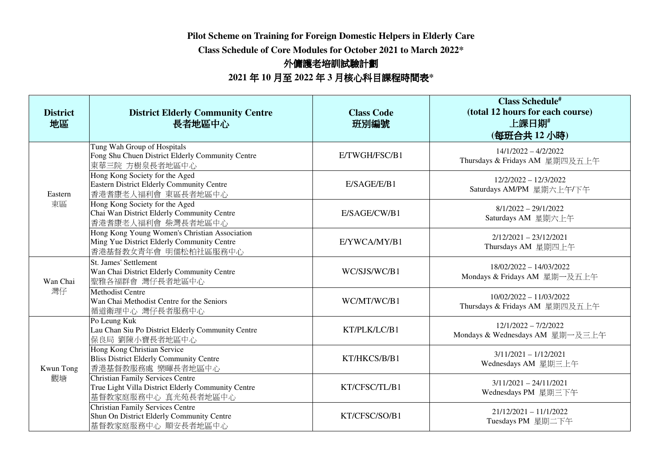**Pilot Scheme on Training for Foreign Domestic Helpers in Elderly Care** 

**Class Schedule of Core Modules for October 2021 to March 2022\*** 

## 外傭護老培訓試驗計劃

## **2021** 年 **<sup>10</sup>** 月至 **<sup>2022</sup>** <sup>年</sup> **3** 月核心科目課程時間表**\***

| <b>District</b><br>地區 | <b>District Elderly Community Centre</b><br>長者地區中心                                                                   | <b>Class Code</b><br>班別編號 | <b>Class Schedule#</b><br>(total 12 hours for each course)<br>上課日期#<br>(每班合共12小時) |
|-----------------------|----------------------------------------------------------------------------------------------------------------------|---------------------------|-----------------------------------------------------------------------------------|
| Eastern<br>東區         | Tung Wah Group of Hospitals<br>Fong Shu Chuen District Elderly Community Centre<br>東華三院 方樹泉長者地區中心                    | E/TWGH/FSC/B1             | $14/1/2022 - 4/2/2022$<br>Thursdays & Fridays AM 星期四及五上午                          |
|                       | Hong Kong Society for the Aged<br>Eastern District Elderly Community Centre<br>香港耆康老人福利會 東區長者地區中心                    | E/SAGE/E/B1               | $12/2/2022 - 12/3/2022$<br>Saturdays AM/PM 星期六上午/下午                               |
|                       | Hong Kong Society for the Aged<br>Chai Wan District Elderly Community Centre<br>香港耆康老人福利會 柴灣長者地區中心                   | E/SAGE/CW/B1              | $8/1/2022 - 29/1/2022$<br>Saturdays AM 星期六上午                                      |
|                       | Hong Kong Young Women's Christian Association<br>Ming Yue District Elderly Community Centre<br>香港基督教女青年會 明儒松柏社區服務中心  | E/YWCA/MY/B1              | $2/12/2021 - 23/12/2021$<br>Thursdays AM 星期四上午                                    |
| Wan Chai<br>灣仔        | St. James' Settlement<br>Wan Chai District Elderly Community Centre<br>聖雅各福群會 灣仔長者地區中心                               | WC/SJS/WC/B1              | 18/02/2022 - 14/03/2022<br>Mondays & Fridays AM 星期一及五上午                           |
|                       | <b>Methodist Centre</b><br>Wan Chai Methodist Centre for the Seniors<br>循道衛理中心 灣仔長者服務中心                              | WC/MT/WC/B1               | $10/02/2022 - 11/03/2022$<br>Thursdays & Fridays AM 星期四及五上午                       |
| Kwun Tong<br>觀塘       | Po Leung Kuk<br>Lau Chan Siu Po District Elderly Community Centre<br>保良局 劉陳小寶長者地區中心                                  | KT/PLK/LC/B1              | $12/1/2022 - 7/2/2022$<br>Mondays & Wednesdays AM 星期一及三上午                         |
|                       | <b>Hong Kong Christian Service</b><br><b>Bliss District Elderly Community Centre</b><br>香港基督教服務處 樂暉長者地區中心            | KT/HKCS/B/B1              | $3/11/2021 - 1/12/2021$<br>Wednesdays AM 星期三上午                                    |
|                       | <b>Christian Family Services Centre</b><br>True Light Villa District Elderly Community Centre<br>基督教家庭服務中心 真光苑長者地區中心 | KT/CFSC/TL/B1             | $3/11/2021 - 24/11/2021$<br>Wednesdays PM 星期三下午                                   |
|                       | <b>Christian Family Services Centre</b><br>Shun On District Elderly Community Centre<br>基督教家庭服務中心 順安長者地區中心           | KT/CFSC/SO/B1             | $21/12/2021 - 11/1/2022$<br>Tuesdays PM 星期二下午                                     |